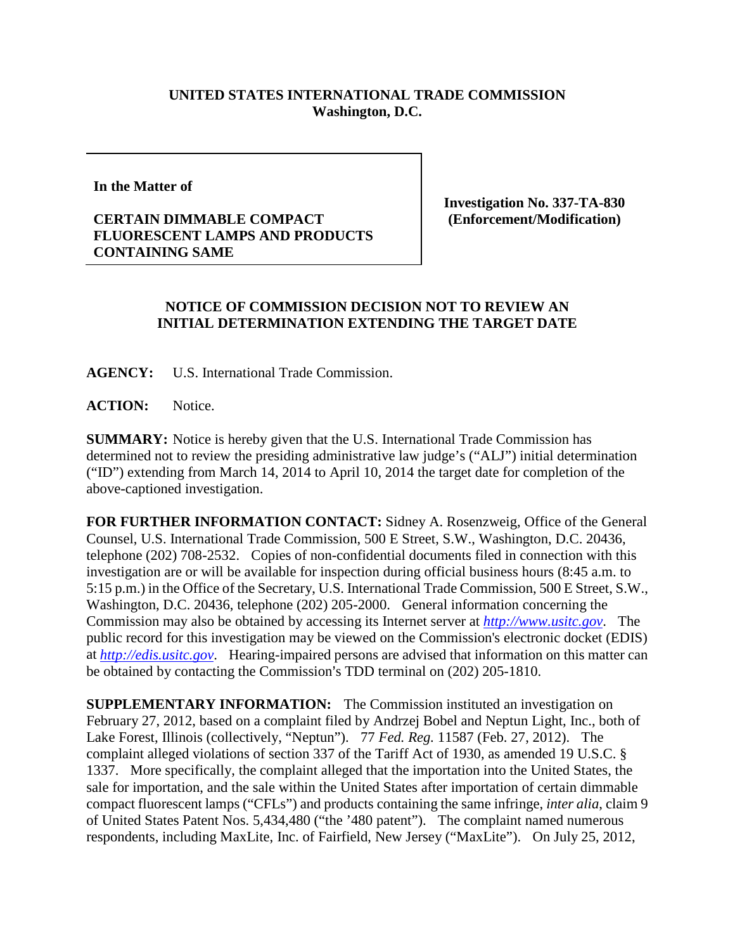## **UNITED STATES INTERNATIONAL TRADE COMMISSION Washington, D.C.**

**In the Matter of**

## **CERTAIN DIMMABLE COMPACT FLUORESCENT LAMPS AND PRODUCTS CONTAINING SAME**

**Investigation No. 337-TA-830 (Enforcement/Modification)**

## **NOTICE OF COMMISSION DECISION NOT TO REVIEW AN INITIAL DETERMINATION EXTENDING THE TARGET DATE**

**AGENCY:** U.S. International Trade Commission.

**ACTION:** Notice.

**SUMMARY:** Notice is hereby given that the U.S. International Trade Commission has determined not to review the presiding administrative law judge's ("ALJ") initial determination ("ID") extending from March 14, 2014 to April 10, 2014 the target date for completion of the above-captioned investigation.

**FOR FURTHER INFORMATION CONTACT:** Sidney A. Rosenzweig, Office of the General Counsel, U.S. International Trade Commission, 500 E Street, S.W., Washington, D.C. 20436, telephone (202) 708-2532. Copies of non-confidential documents filed in connection with this investigation are or will be available for inspection during official business hours (8:45 a.m. to 5:15 p.m.) in the Office of the Secretary, U.S. International Trade Commission, 500 E Street, S.W., Washington, D.C. 20436, telephone (202) 205-2000. General information concerning the Commission may also be obtained by accessing its Internet server at *[http://www.usitc.gov](http://www.usitc.gov/)*. The public record for this investigation may be viewed on the Commission's electronic docket (EDIS) at *[http://edis.usitc.gov](http://edis.usitc.gov/)*. Hearing-impaired persons are advised that information on this matter can be obtained by contacting the Commission's TDD terminal on (202) 205-1810.

**SUPPLEMENTARY INFORMATION:** The Commission instituted an investigation on February 27, 2012, based on a complaint filed by Andrzej Bobel and Neptun Light, Inc., both of Lake Forest, Illinois (collectively, "Neptun"). 77 *Fed. Reg.* 11587 (Feb. 27, 2012). The complaint alleged violations of section 337 of the Tariff Act of 1930, as amended 19 U.S.C. § 1337. More specifically, the complaint alleged that the importation into the United States, the sale for importation, and the sale within the United States after importation of certain dimmable compact fluorescent lamps ("CFLs") and products containing the same infringe, *inter alia*, claim 9 of United States Patent Nos. 5,434,480 ("the '480 patent"). The complaint named numerous respondents, including MaxLite, Inc. of Fairfield, New Jersey ("MaxLite"). On July 25, 2012,